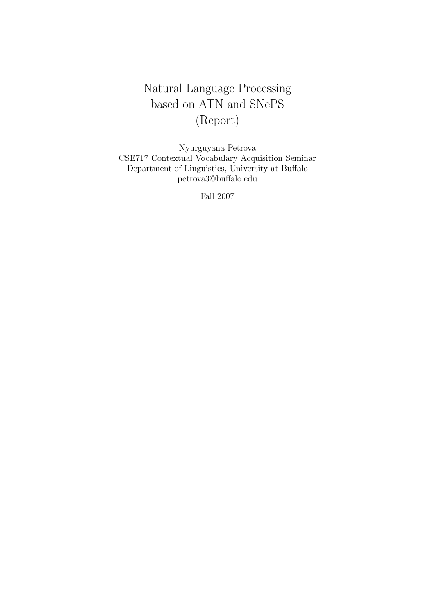# Natural Language Processing based on ATN and SNePS (Report)

Nyurguyana Petrova CSE717 Contextual Vocabulary Acquisition Seminar Department of Linguistics, University at Buffalo petrova3@buffalo.edu

Fall 2007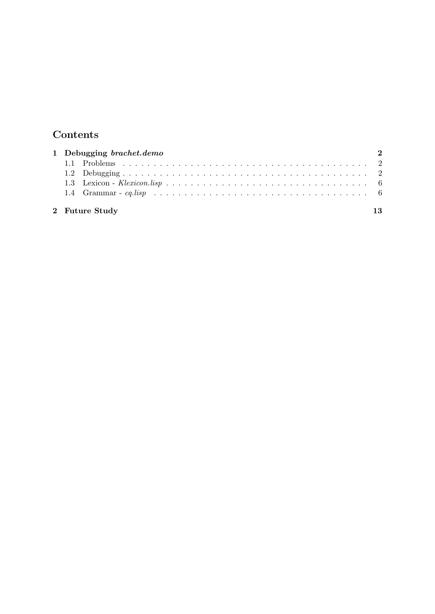## Contents

|  | 1 Debugging brachet.demo<br>$\mathcal{D}$ |  |
|--|-------------------------------------------|--|
|  |                                           |  |
|  |                                           |  |
|  |                                           |  |
|  |                                           |  |
|  | 2 Future Study<br>13                      |  |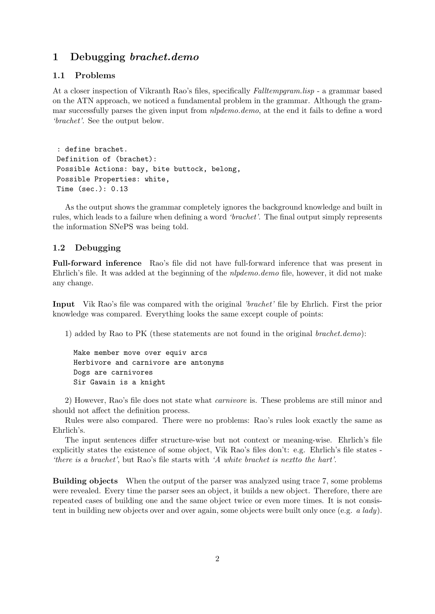#### 1 Debugging brachet.demo

#### 1.1 Problems

At a closer inspection of Vikranth Rao's files, specifically *Falltempgram.lisp* - a grammar based on the ATN approach, we noticed a fundamental problem in the grammar. Although the grammar successfully parses the given input from *nlpdemo.demo*, at the end it fails to define a word 'brachet'. See the output below.

: define brachet. Definition of (brachet): Possible Actions: bay, bite buttock, belong, Possible Properties: white, Time (sec.): 0.13

As the output shows the grammar completely ignores the background knowledge and built in rules, which leads to a failure when defining a word 'brachet'. The final output simply represents the information SNePS was being told.

#### 1.2 Debugging

Full-forward inference Rao's file did not have full-forward inference that was present in Ehrlich's file. It was added at the beginning of the *nlpdemo.demo* file, however, it did not make any change.

Input Vik Rao's file was compared with the original 'brachet' file by Ehrlich. First the prior knowledge was compared. Everything looks the same except couple of points:

1) added by Rao to PK (these statements are not found in the original brachet.demo):

Make member move over equiv arcs Herbivore and carnivore are antonyms Dogs are carnivores Sir Gawain is a knight

2) However, Rao's file does not state what carnivore is. These problems are still minor and should not affect the definition process.

Rules were also compared. There were no problems: Rao's rules look exactly the same as Ehrlich's.

The input sentences differ structure-wise but not context or meaning-wise. Ehrlich's file explicitly states the existence of some object, Vik Rao's files don't: e.g. Ehrlich's file states - 'there is a brachet', but Rao's file starts with 'A white brachet is nextto the hart'.

Building objects When the output of the parser was analyzed using trace 7, some problems were revealed. Every time the parser sees an object, it builds a new object. Therefore, there are repeated cases of building one and the same object twice or even more times. It is not consistent in building new objects over and over again, some objects were built only once (e.g. a lady).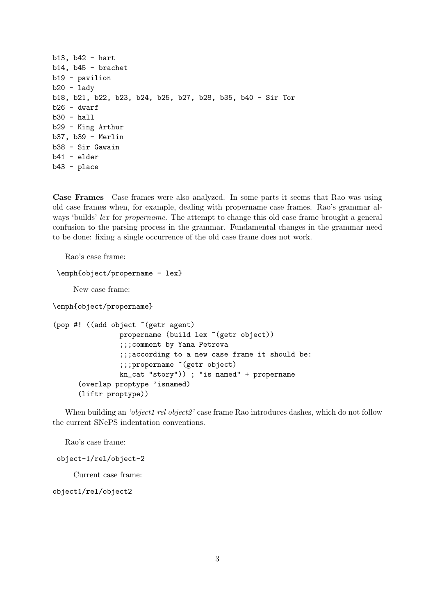```
b13, b42 - hart
b14, b45 - brachet
b19 - pavilion
b20 -lady
b18, b21, b22, b23, b24, b25, b27, b28, b35, b40 - Sir Tor
b26 - dwarfb30 - hallb29 - King Arthur
b37, b39 - Merlin
b38 - Sir Gawain
b41 - elder
b43 - place
```
Case Frames Case frames were also analyzed. In some parts it seems that Rao was using old case frames when, for example, dealing with propername case frames. Rao's grammar always 'builds' lex for propername. The attempt to change this old case frame brought a general confusion to the parsing process in the grammar. Fundamental changes in the grammar need to be done: fixing a single occurrence of the old case frame does not work.

Rao's case frame:

```
\emph{object/propername - lex}
```
New case frame:

\emph{object/propername}

```
(pop #! ((add object ~(getr agent)
                propername (build lex "(getr object))
                ;;;comment by Yana Petrova
                ;;;according to a new case frame it should be:
                ;;;propername ~(getr object)
                kn_cat "story")) ; "is named" + propername
      (overlap proptype 'isnamed)
      (liftr proptype))
```
When building an 'object1 rel object2' case frame Rao introduces dashes, which do not follow the current SNePS indentation conventions.

Rao's case frame:

object-1/rel/object-2

Current case frame:

object1/rel/object2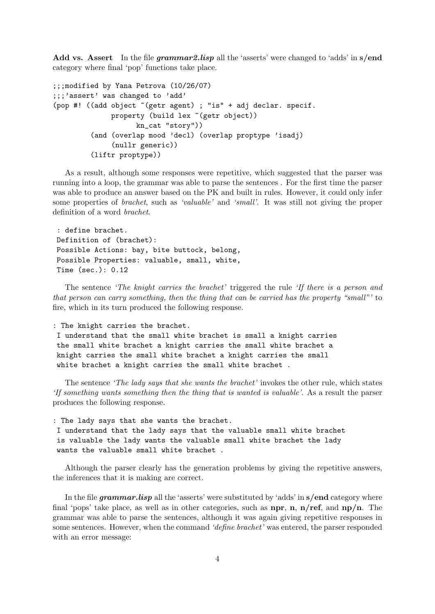Add vs. Assert In the file *grammar2.lisp* all the 'asserts' were changed to 'adds' in s/end category where final 'pop' functions take place.

```
;;;modified by Yana Petrova (10/26/07)
;;;'assert' was changed to 'add'
(pop #! ((add object ~(getr agent) ; "is" + adj declar. specif.
              property (build lex "(getr object))
                    kn_cat "story"))
         (and (overlap mood 'decl) (overlap proptype 'isadj)
              (nullr generic))
         (liftr proptype))
```
As a result, although some responses were repetitive, which suggested that the parser was running into a loop, the grammar was able to parse the sentences . For the first time the parser was able to produce an answer based on the PK and built in rules. However, it could only infer some properties of *brachet*, such as 'valuable' and 'small'. It was still not giving the proper definition of a word brachet.

```
: define brachet.
Definition of (brachet):
Possible Actions: bay, bite buttock, belong,
Possible Properties: valuable, small, white,
Time (sec.): 0.12
```
The sentence 'The knight carries the brachet' triggered the rule 'If there is a person and that person can carry something, then the thing that can be carried has the property "small"' to fire, which in its turn produced the following response.

: The knight carries the brachet.

```
I understand that the small white brachet is small a knight carries
the small white brachet a knight carries the small white brachet a
knight carries the small white brachet a knight carries the small
white brachet a knight carries the small white brachet .
```
The sentence *'The lady says that she wants the brachet'* invokes the other rule, which states 'If something wants something then the thing that is wanted is valuable'. As a result the parser produces the following response.

: The lady says that she wants the brachet.

I understand that the lady says that the valuable small white brachet is valuable the lady wants the valuable small white brachet the lady wants the valuable small white brachet .

Although the parser clearly has the generation problems by giving the repetitive answers, the inferences that it is making are correct.

In the file grammar.lisp all the 'asserts' were substituted by 'adds' in s/end category where final 'pops' take place, as well as in other categories, such as **npr**, **n**,  $n/r$ **ef**, and  $np/n$ . The grammar was able to parse the sentences, although it was again giving repetitive responses in some sentences. However, when the command 'define brachet' was entered, the parser responded with an error message: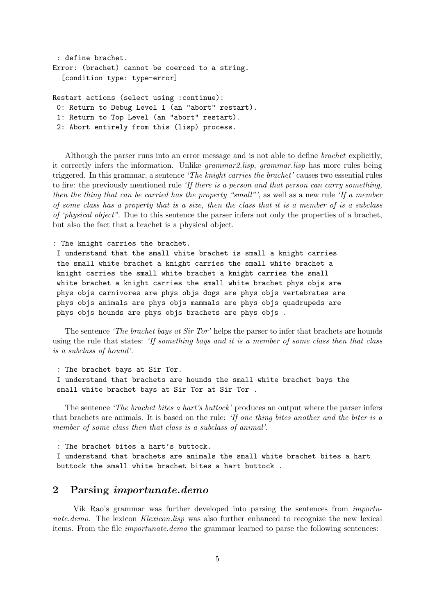```
: define brachet.
Error: (brachet) cannot be coerced to a string.
  [condition type: type-error]
```
Restart actions (select using :continue): 0: Return to Debug Level 1 (an "abort" restart). 1: Return to Top Level (an "abort" restart). 2: Abort entirely from this (lisp) process.

Although the parser runs into an error message and is not able to define brachet explicitly, it correctly infers the information. Unlike *grammar2.lisp*, *grammar.lisp* has more rules being triggered. In this grammar, a sentence 'The knight carries the brachet' causes two essential rules to fire: the previously mentioned rule 'If there is a person and that person can carry something, then the thing that can be carried has the property "small"', as well as a new rule 'If a member of some class has a property that is a size, then the class that it is a member of is a subclass of 'physical object". Due to this sentence the parser infers not only the properties of a brachet, but also the fact that a brachet is a physical object.

: The knight carries the brachet.

I understand that the small white brachet is small a knight carries the small white brachet a knight carries the small white brachet a knight carries the small white brachet a knight carries the small white brachet a knight carries the small white brachet phys objs are phys objs carnivores are phys objs dogs are phys objs vertebrates are phys objs animals are phys objs mammals are phys objs quadrupeds are phys objs hounds are phys objs brachets are phys objs .

The sentence *'The brachet bays at Sir Tor'* helps the parser to infer that brachets are hounds using the rule that states: 'If something bays and it is a member of some class then that class is a subclass of hound'.

: The brachet bays at Sir Tor.

I understand that brachets are hounds the small white brachet bays the small white brachet bays at Sir Tor at Sir Tor .

The sentence *'The brachet bites a hart's buttock'* produces an output where the parser infers that brachets are animals. It is based on the rule: 'If one thing bites another and the biter is a member of some class then that class is a subclass of animal'.

: The brachet bites a hart's buttock.

I understand that brachets are animals the small white brachet bites a hart buttock the small white brachet bites a hart buttock .

#### 2 Parsing importunate.demo

Vik Rao's grammar was further developed into parsing the sentences from importunate.demo. The lexicon Klexicon.lisp was also further enhanced to recognize the new lexical items. From the file importunate.demo the grammar learned to parse the following sentences: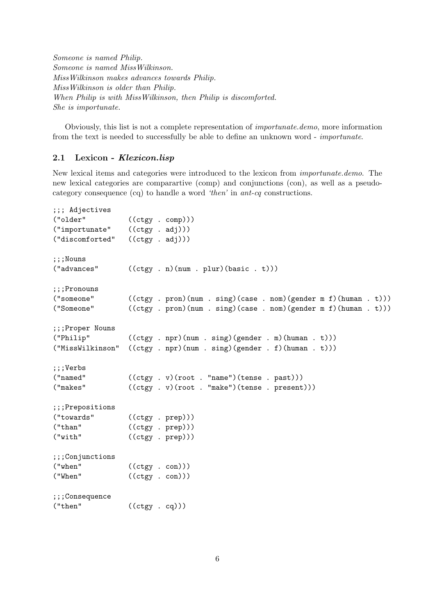Someone is named Philip. Someone is named MissWilkinson. MissWilkinson makes advances towards Philip. MissWilkinson is older than Philip. When Philip is with MissWilkinson, then Philip is discomforted. She is importunate.

Obviously, this list is not a complete representation of importunate.demo, more information from the text is needed to successfully be able to define an unknown word - importunate.

#### 2.1 Lexicon - Klexicon.lisp

New lexical items and categories were introduced to the lexicon from importunate.demo. The new lexical categories are comparartive (comp) and conjunctions (con), as well as a pseudocategory consequence (cq) to handle a word 'then' in ant-cq constructions.

```
;;; Adjectives
("older" ((ctgy . comp)))
("importunate" ((ctgy . adj)))
("discomforted" ((ctgy . adj)))
;;;Nouns
("advances" ((ctgy . n)(num . plur)(basic . t)))
;;;Pronouns
("someone" ((ctgy . pron)(num . sing)(case . nom)(gender m f)(human . t)))
("Someone" ((ctgy . pron)(num . sing)(case . nom)(gender m f)(human . t)))
;;;Proper Nouns
("Philip" ((ctgy . npr)(num . sing)(gender . m)(human . t)))
("MissWilkinson" ((ctgy . npr)(num . sing)(gender . f)(human . t)))
;;;Verbs
("named" ((ctgy . v)(root . "name")(tense . past)))
("makes" ((ctgy . v)(root . "make")(tense . present)))
;;;Prepositions
("towards" ((ctgy . prep)))
("than" ((ctgy . prep)))
("with" ((ctgy . prep)))
;;;Conjunctions
("when" ((ctgy . con)))
("When" ((ctgy . con)))
;;;Consequence
("then" ((ctgy . cq)))
```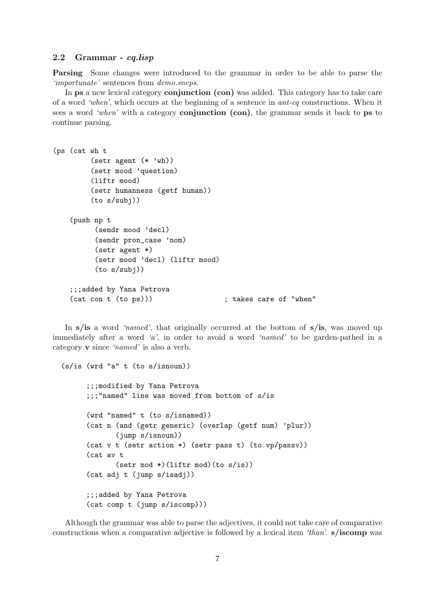#### 2.2 Grammar - cq.lisp

Parsing Some changes were introduced to the grammar in order to be able to parse the 'importunate' sentences from demo.sneps.

In **ps** a new lexical category **conjunction** (con) was added. This category has to take care of a word 'when', which occurs at the beginning of a sentence in ant-cq constructions. When it sees a word 'when' with a category **conjunction** (con), the grammar sends it back to ps to continue parsing.

```
(ps (cat wh t
         (setr agent (* 'wh))
         (setr mood 'question)
         (liftr mood)
         (setr humanness (getf human))
         (to s/subj))
    (push np t
          (sendr mood 'decl)
          (sendr pron_case 'nom)
          (setr agent *)
          (setr mood 'decl) (liftr mood)
          (to s/subj))
    ;;;added by Yana Petrova
    (cat con t (to ps))) \qquad \qquad ; takes care of "when"
```
In  $s/$ is a word 'named', that originally occurred at the bottom of  $s/$ is, was moved up immediately after a word 'a', in order to avoid a word 'named' to be garden-pathed in a category v since 'named' is also a verb.

```
(s/is (wrd "a" t (to s/isnoun))
      ;;;modified by Yana Petrova
      ;;;"named" line was moved from bottom of s/is
      (wrd "named" t (to s/isnamed))
      (cat n (and (getr generic) (overlap (getf num) 'plur))
             (jump s/isnoun))
      (cat v t (setr action *) (setr pass t) (to vp/passv))
      (cat av t
             (setr mod *)(liftr mod)(to s/is))
      (cat adj t (jump s/isadj))
      ;;;added by Yana Petrova
      (cat comp t (jump s/iscomp)))
```
Although the grammar was able to parse the adjectives, it could not take care of comparative constructions when a comparative adjective is followed by a lexical item 'than'. s/**iscomp** was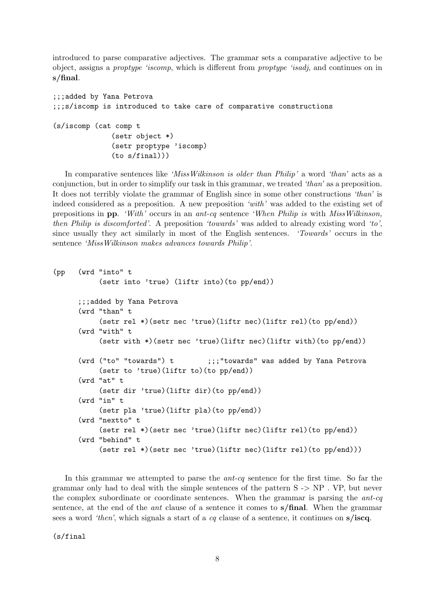introduced to parse comparative adjectives. The grammar sets a comparative adjective to be object, assigns a proptype 'iscomp, which is different from proptype 'isadj, and continues on in s/final.

```
;;;added by Yana Petrova
;;;s/iscomp is introduced to take care of comparative constructions
(s/iscomp (cat comp t
              (setr object *)
              (setr proptype 'iscomp)
              (to s/final)))
```
In comparative sentences like 'MissWilkinson is older than Philip' a word 'than' acts as a conjunction, but in order to simplify our task in this grammar, we treated 'than' as a preposition. It does not terribly violate the grammar of English since in some other constructions 'than' is indeed considered as a preposition. A new preposition 'with' was added to the existing set of prepositions in pp. 'With' occurs in an ant-cq sentence 'When Philip is with MissWilkinson, then Philip is discomforted'. A preposition 'towards' was added to already existing word 'to', since usually they act similarly in most of the English sentences. 'Towards' occurs in the sentence 'MissWilkinson makes advances towards Philip'.

```
(pp (wrd "into" t
           (setr into 'true) (liftr into)(to pp/end))
      ;;;added by Yana Petrova
      (wrd "than" t
          (setr rel *)(setr nec 'true)(liftr nec)(liftr rel)(to pp/end))
      (wrd "with" t
          (setr with *)(setr nec 'true)(liftr nec)(liftr with)(to pp/end))
      (wrd ("to" "towards") t ;;;"towards" was added by Yana Petrova
          (setr to 'true)(liftr to)(to pp/end))
      (wrd "at" t
          (setr dir 'true)(liftr dir)(to pp/end))
      (wrd "in" t
          (setr pla 'true)(liftr pla)(to pp/end))
      (wrd "nextto" t
           (setr rel *)(setr nec 'true)(liftr nec)(liftr rel)(to pp/end))
      (wrd "behind" t
          (setr rel *)(setr nec 'true)(liftr nec)(liftr rel)(to pp/end)))
```
In this grammar we attempted to parse the *ant-cq* sentence for the first time. So far the grammar only had to deal with the simple sentences of the pattern  $S \rightarrow NP$ . VP, but never the complex subordinate or coordinate sentences. When the grammar is parsing the ant-cq sentence, at the end of the ant clause of a sentence it comes to s/final. When the grammar sees a word 'then', which signals a start of a cq clause of a sentence, it continues on  $s/iscq$ .

(s/final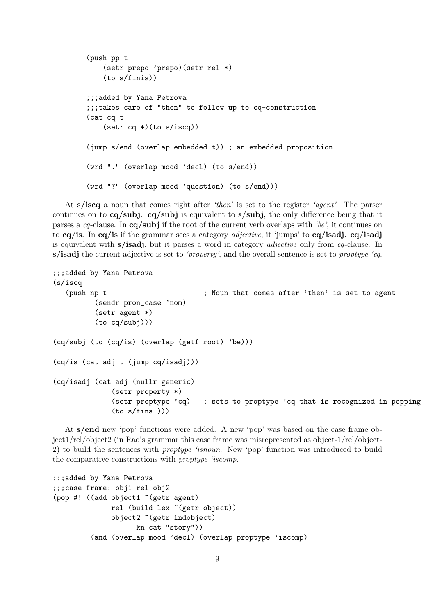```
(push pp t
    (setr prepo 'prepo)(setr rel *)
    (to s/finis))
;;;added by Yana Petrova
;;;takes care of "then" to follow up to cq-construction
(cat cq t
    (setr cq *)(to s/iscq))
(jump s/end (overlap embedded t)) ; an embedded proposition
(wrd "." (overlap mood 'decl) (to s/end))
(wrd "?" (overlap mood 'question) (to s/end)))
```
At  $s/$ iscq a noun that comes right after 'then' is set to the register 'agent'. The parser continues on to  $cq/subj$ .  $cq/subj$  is equivalent to  $s/subj$ , the only difference being that it parses a cq-clause. In  $cq/subj$  if the root of the current verb overlaps with 'be', it continues on to  $cq/$ is. In cq/is if the grammar sees a category *adjective*, it 'jumps' to cq/isadj. cq/isadj is equivalent with s/isadj, but it parses a word in category adjective only from cq-clause. In  $s/$ isadj the current adjective is set to 'property', and the overall sentence is set to proptype 'cq.

```
;;;added by Yana Petrova
(s/iscq
  (push np t ; Noun that comes after 'then' is set to agent
         (sendr pron_case 'nom)
         (setr agent *)
         (to cq/subj)))
(cq/subj (to (cq/is) (overlap (getf root) 'be)))
(cq/is (cat adj t (jump cq/isadj)))
(cq/isadj (cat adj (nullr generic)
             (setr property *)
             (setr proptype 'cq) ; sets to proptype 'cq that is recognized in popping
             (to s/final)))
```
At s/end new 'pop' functions were added. A new 'pop' was based on the case frame object1/rel/object2 (in Rao's grammar this case frame was misrepresented as object-1/rel/object-2) to build the sentences with proptype 'isnoun. New 'pop' function was introduced to build the comparative constructions with proptype 'iscomp.

```
;;;added by Yana Petrova
;;;case frame: obj1 rel obj2
(pop #! ((add object1 ~(getr agent)
             rel (build lex ~(getr object))
              object2 ~(getr indobject)
                    kn_cat "story"))
         (and (overlap mood 'decl) (overlap proptype 'iscomp)
```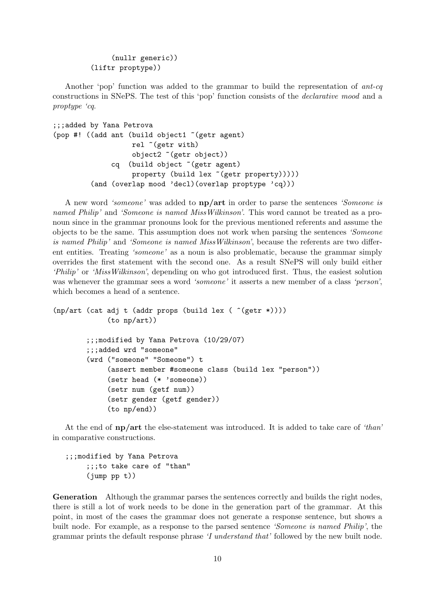```
(nullr generic))
(liftr proptype))
```
Another 'pop' function was added to the grammar to build the representation of  $ant-cq$ constructions in SNePS. The test of this 'pop' function consists of the declarative mood and a proptype 'cq.

```
;;;added by Yana Petrova
(pop #! ((add ant (build object1 ~(getr agent)
                   rel ~(getr with)
                   object2 ~(getr object))
              cq (build object ~(getr agent)
                   property (build lex "(getr property)))))
         (and (overlap mood 'decl)(overlap proptype 'cq)))
```
A new word 'someone' was added to np/art in order to parse the sentences 'Someone is named Philip' and 'Someone is named MissWilkinson'. This word cannot be treated as a pronoun since in the grammar pronouns look for the previous mentioned referents and assume the objects to be the same. This assumption does not work when parsing the sentences 'Someone is named Philip' and 'Someone is named MissWilkinson', because the referents are two different entities. Treating 'someone' as a noun is also problematic, because the grammar simply overrides the first statement with the second one. As a result SNePS will only build either 'Philip' or 'MissWilkinson', depending on who got introduced first. Thus, the easiest solution was whenever the grammar sees a word 'someone' it asserts a new member of a class 'person', which becomes a head of a sentence.

```
(np/art (cat adj t (addr props (build lex ( ^(getr *))))
             (to np/art))
        ;;;modified by Yana Petrova (10/29/07)
        ;;;added wrd "someone"
        (wrd ("someone" "Someone") t
             (assert member #someone class (build lex "person"))
             (setr head (* 'someone))
             (setr num (getf num))
             (setr gender (getf gender))
             (to np/end))
```
At the end of np/art the else-statement was introduced. It is added to take care of 'than' in comparative constructions.

;;;modified by Yana Petrova ;;;to take care of "than" (jump pp t))

Generation Although the grammar parses the sentences correctly and builds the right nodes, there is still a lot of work needs to be done in the generation part of the grammar. At this point, in most of the cases the grammar does not generate a response sentence, but shows a built node. For example, as a response to the parsed sentence 'Someone is named Philip', the grammar prints the default response phrase 'I understand that' followed by the new built node.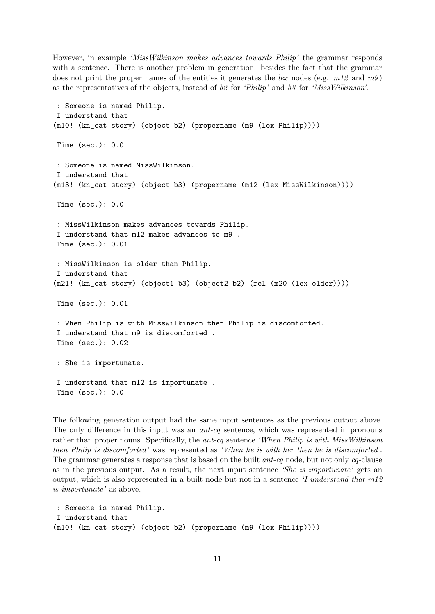However, in example 'MissWilkinson makes advances towards Philip' the grammar responds with a sentence. There is another problem in generation: besides the fact that the grammar does not print the proper names of the entities it generates the lex nodes (e.g.  $m12$  and  $m9$ ) as the representatives of the objects, instead of  $b\hat{z}$  for 'Philip' and  $b\hat{z}$  for 'MissWilkinson'.

```
: Someone is named Philip.
I understand that
(m10! (kn_cat story) (object b2) (propername (m9 (lex Philip))))
Time (sec.): 0.0
: Someone is named MissWilkinson.
I understand that
(m13! (kn_cat story) (object b3) (propername (m12 (lex MissWilkinson))))
Time (sec.): 0.0
: MissWilkinson makes advances towards Philip.
I understand that m12 makes advances to m9 .
Time (sec.): 0.01
: MissWilkinson is older than Philip.
I understand that
(m21! (kn_cat story) (object1 b3) (object2 b2) (rel (m20 (lex older))))
Time (sec.): 0.01
: When Philip is with MissWilkinson then Philip is discomforted.
I understand that m9 is discomforted .
Time (sec.): 0.02
: She is importunate.
I understand that m12 is importunate .
Time (sec.): 0.0
```
The following generation output had the same input sentences as the previous output above. The only difference in this input was an *ant-cq* sentence, which was represented in pronouns rather than proper nouns. Specifically, the ant-cq sentence 'When Philip is with MissWilkinson then Philip is discomforted' was represented as 'When he is with her then he is discomforted'. The grammar generates a response that is based on the built *ant-cq* node, but not only *cq*-clause as in the previous output. As a result, the next input sentence 'She is importunate' gets an output, which is also represented in a built node but not in a sentence 'I understand that m12 is importunate' as above.

```
: Someone is named Philip.
I understand that
(m10! (kn_cat story) (object b2) (propername (m9 (lex Philip))))
```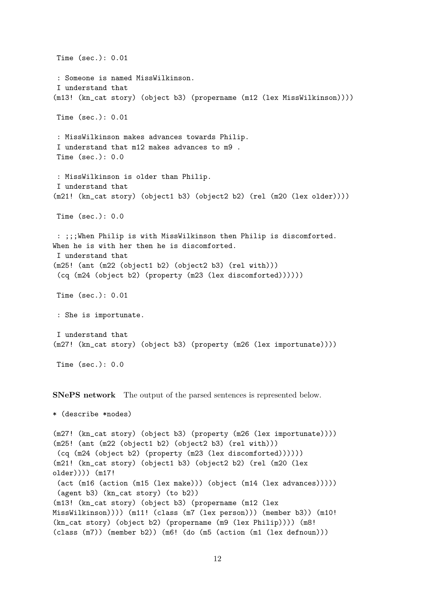Time (sec.): 0.01 : Someone is named MissWilkinson. I understand that (m13! (kn\_cat story) (object b3) (propername (m12 (lex MissWilkinson)))) Time (sec.): 0.01 : MissWilkinson makes advances towards Philip. I understand that m12 makes advances to m9 . Time (sec.): 0.0 : MissWilkinson is older than Philip. I understand that (m21! (kn\_cat story) (object1 b3) (object2 b2) (rel (m20 (lex older)))) Time (sec.): 0.0 : ;;;When Philip is with MissWilkinson then Philip is discomforted. When he is with her then he is discomforted. I understand that (m25! (ant (m22 (object1 b2) (object2 b3) (rel with))) (cq (m24 (object b2) (property (m23 (lex discomforted)))))) Time (sec.): 0.01 : She is importunate. I understand that (m27! (kn\_cat story) (object b3) (property (m26 (lex importunate)))) Time (sec.): 0.0

SNePS network The output of the parsed sentences is represented below.

```
* (describe *nodes)
```
(m27! (kn\_cat story) (object b3) (property (m26 (lex importunate)))) (m25! (ant (m22 (object1 b2) (object2 b3) (rel with))) (cq (m24 (object b2) (property (m23 (lex discomforted)))))) (m21! (kn\_cat story) (object1 b3) (object2 b2) (rel (m20 (lex older)))) (m17! (act (m16 (action (m15 (lex make))) (object (m14 (lex advances))))) (agent b3) (kn\_cat story) (to b2)) (m13! (kn\_cat story) (object b3) (propername (m12 (lex MissWilkinson)))) (m11! (class (m7 (lex person))) (member b3)) (m10! (kn\_cat story) (object b2) (propername (m9 (lex Philip)))) (m8! (class (m7)) (member b2)) (m6! (do (m5 (action (m1 (lex defnoun)))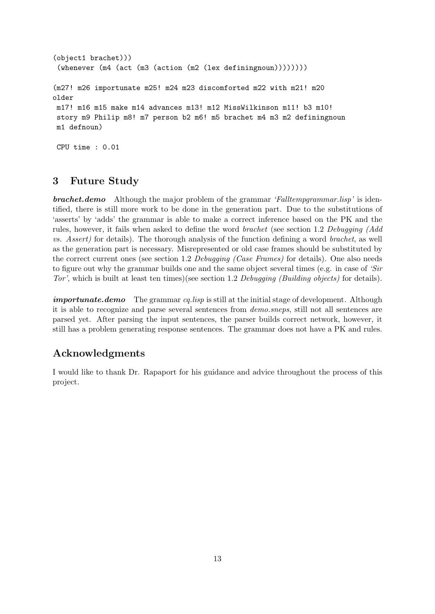```
(object1 brachet)))
 (whenever (m4 (act (m3 (action (m2 (lex definingnoun))))))))
(m27! m26 importunate m25! m24 m23 discomforted m22 with m21! m20
older
m17! m16 m15 make m14 advances m13! m12 MissWilkinson m11! b3 m10!
story m9 Philip m8! m7 person b2 m6! m5 brachet m4 m3 m2 definingnoun
m1 defnoun)
CPU time : 0.01
```
## 3 Future Study

**brachet.demo** Although the major problem of the grammar 'Falltempgrammar.lisp' is identified, there is still more work to be done in the generation part. Due to the substitutions of 'asserts' by 'adds' the grammar is able to make a correct inference based on the PK and the rules, however, it fails when asked to define the word brachet (see section 1.2 Debugging (Add vs. Assert) for details). The thorough analysis of the function defining a word brachet, as well as the generation part is necessary. Misrepresented or old case frames should be substituted by the correct current ones (see section 1.2 Debugging (Case Frames) for details). One also needs to figure out why the grammar builds one and the same object several times (e.g. in case of 'Sir Tor', which is built at least ten times)(see section 1.2 Debugging (Building objects) for details).

importunate.demo The grammar cq.lisp is still at the initial stage of development. Although it is able to recognize and parse several sentences from demo.sneps, still not all sentences are parsed yet. After parsing the input sentences, the parser builds correct network, however, it still has a problem generating response sentences. The grammar does not have a PK and rules.

### Acknowledgments

I would like to thank Dr. Rapaport for his guidance and advice throughout the process of this project.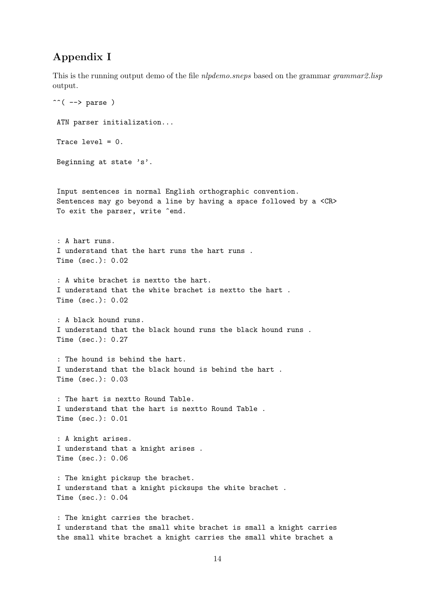## Appendix I

This is the running output demo of the file *nlpdemo.sneps* based on the grammar grammar2.lisp output.

```
\hat{\cdot} ( --> parse )
ATN parser initialization...
Trace level = 0.
Beginning at state 's'.
Input sentences in normal English orthographic convention.
Sentences may go beyond a line by having a space followed by a <CR>
To exit the parser, write ^end.
 : A hart runs.
I understand that the hart runs the hart runs .
Time (sec.): 0.02
 : A white brachet is nextto the hart.
I understand that the white brachet is nextto the hart .
Time (sec.): 0.02
 : A black hound runs.
I understand that the black hound runs the black hound runs .
Time (sec.): 0.27
 : The hound is behind the hart.
I understand that the black hound is behind the hart .
Time (sec.): 0.03
 : The hart is nextto Round Table.
I understand that the hart is nextto Round Table .
Time (sec.): 0.01
 : A knight arises.
I understand that a knight arises .
Time (sec.): 0.06
 : The knight picksup the brachet.
I understand that a knight picksups the white brachet .
Time (sec.): 0.04
 : The knight carries the brachet.
I understand that the small white brachet is small a knight carries
the small white brachet a knight carries the small white brachet a
```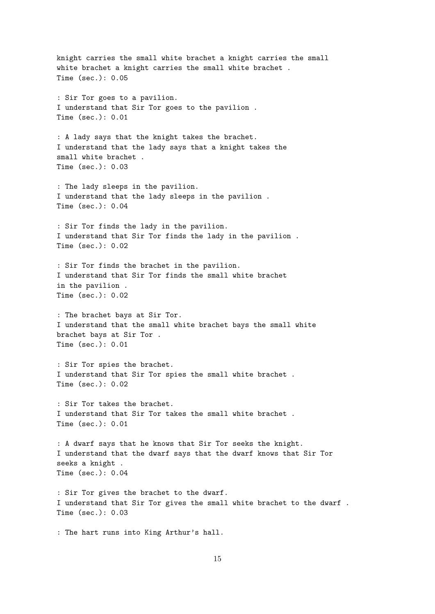knight carries the small white brachet a knight carries the small white brachet a knight carries the small white brachet . Time (sec.): 0.05 : Sir Tor goes to a pavilion. I understand that Sir Tor goes to the pavilion . Time (sec.): 0.01 : A lady says that the knight takes the brachet. I understand that the lady says that a knight takes the small white brachet . Time  $(\text{sec.}) \cdot 0.03$ : The lady sleeps in the pavilion. I understand that the lady sleeps in the pavilion . Time (sec.): 0.04 : Sir Tor finds the lady in the pavilion. I understand that Sir Tor finds the lady in the pavilion . Time (sec.): 0.02 : Sir Tor finds the brachet in the pavilion. I understand that Sir Tor finds the small white brachet in the pavilion . Time (sec.): 0.02 : The brachet bays at Sir Tor. I understand that the small white brachet bays the small white brachet bays at Sir Tor . Time (sec.): 0.01 : Sir Tor spies the brachet. I understand that Sir Tor spies the small white brachet . Time (sec.): 0.02 : Sir Tor takes the brachet. I understand that Sir Tor takes the small white brachet . Time (sec.): 0.01 : A dwarf says that he knows that Sir Tor seeks the knight. I understand that the dwarf says that the dwarf knows that Sir Tor seeks a knight . Time (sec.): 0.04 : Sir Tor gives the brachet to the dwarf. I understand that Sir Tor gives the small white brachet to the dwarf . Time (sec.): 0.03 : The hart runs into King Arthur's hall.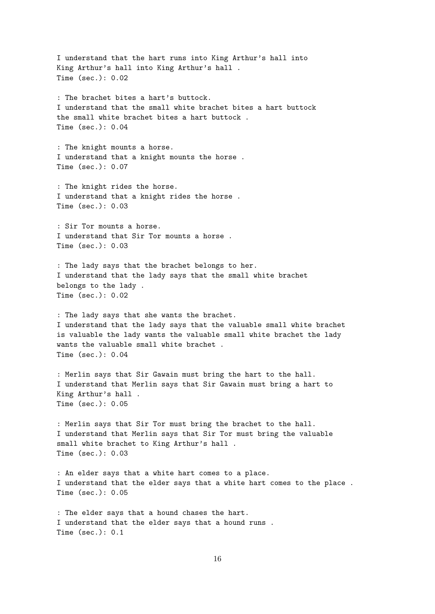I understand that the hart runs into King Arthur's hall into King Arthur's hall into King Arthur's hall . Time (sec.): 0.02 : The brachet bites a hart's buttock. I understand that the small white brachet bites a hart buttock the small white brachet bites a hart buttock . Time (sec.): 0.04 : The knight mounts a horse. I understand that a knight mounts the horse . Time (sec.): 0.07 : The knight rides the horse. I understand that a knight rides the horse . Time (sec.): 0.03 : Sir Tor mounts a horse. I understand that Sir Tor mounts a horse . Time (sec.): 0.03 : The lady says that the brachet belongs to her. I understand that the lady says that the small white brachet belongs to the lady . Time (sec.): 0.02 : The lady says that she wants the brachet. I understand that the lady says that the valuable small white brachet is valuable the lady wants the valuable small white brachet the lady wants the valuable small white brachet . Time (sec.): 0.04 : Merlin says that Sir Gawain must bring the hart to the hall. I understand that Merlin says that Sir Gawain must bring a hart to King Arthur's hall . Time (sec.): 0.05 : Merlin says that Sir Tor must bring the brachet to the hall. I understand that Merlin says that Sir Tor must bring the valuable small white brachet to King Arthur's hall . Time (sec.): 0.03 : An elder says that a white hart comes to a place. I understand that the elder says that a white hart comes to the place . Time (sec.): 0.05 : The elder says that a hound chases the hart. I understand that the elder says that a hound runs . Time (sec.): 0.1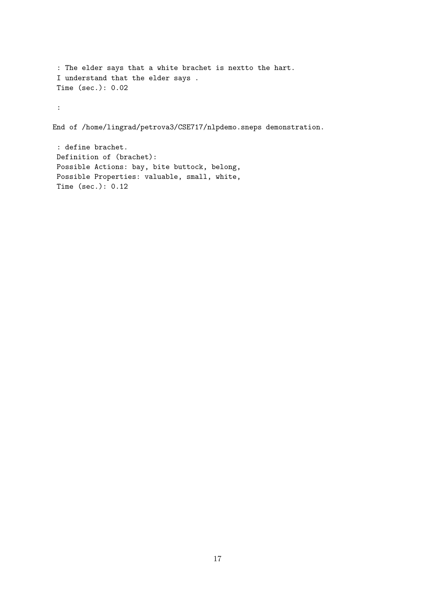```
: The elder says that a white brachet is nextto the hart.
 I understand that the elder says .
Time (sec.): 0.02
:
End of /home/lingrad/petrova3/CSE717/nlpdemo.sneps demonstration.
 : define brachet.
```

```
Definition of (brachet):
Possible Actions: bay, bite buttock, belong,
Possible Properties: valuable, small, white,
Time (sec.): 0.12
```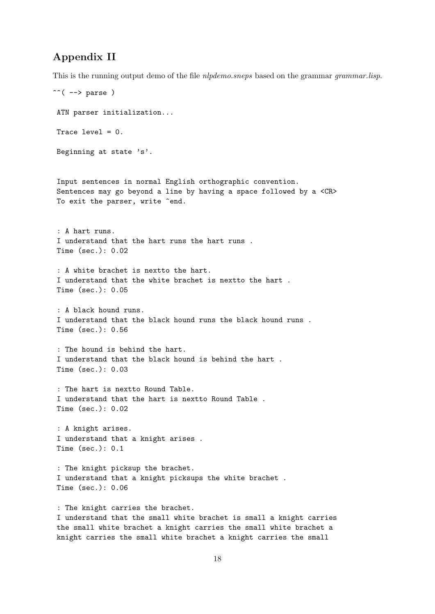## Appendix II

This is the running output demo of the file *nlpdemo.sneps* based on the grammar *grammar.lisp.* 

```
\hat{C} \rightarrow parse )
ATN parser initialization...
Trace level = 0.
Beginning at state 's'.
Input sentences in normal English orthographic convention.
Sentences may go beyond a line by having a space followed by a <CR>
To exit the parser, write ^end.
 : A hart runs.
I understand that the hart runs the hart runs .
Time (sec.): 0.02
 : A white brachet is nextto the hart.
I understand that the white brachet is nextto the hart .
Time (sec.): 0.05
 : A black hound runs.
I understand that the black hound runs the black hound runs .
Time (sec.): 0.56
 : The hound is behind the hart.
I understand that the black hound is behind the hart .
Time (sec.): 0.03
 : The hart is nextto Round Table.
I understand that the hart is nextto Round Table .
Time (sec.): 0.02
 : A knight arises.
I understand that a knight arises .
Time (sec.): 0.1
 : The knight picksup the brachet.
I understand that a knight picksups the white brachet .
Time (sec.): 0.06
 : The knight carries the brachet.
I understand that the small white brachet is small a knight carries
the small white brachet a knight carries the small white brachet a
knight carries the small white brachet a knight carries the small
```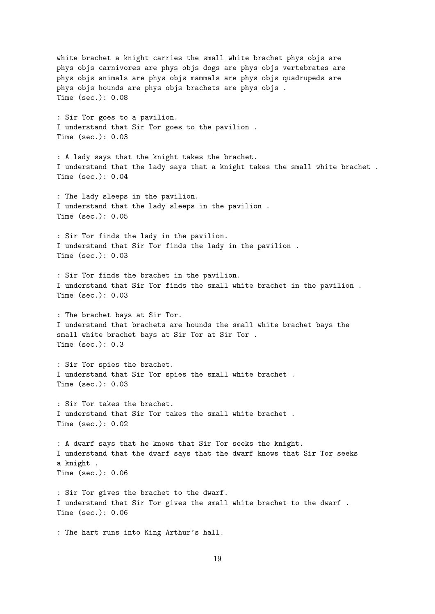white brachet a knight carries the small white brachet phys objs are phys objs carnivores are phys objs dogs are phys objs vertebrates are phys objs animals are phys objs mammals are phys objs quadrupeds are phys objs hounds are phys objs brachets are phys objs . Time (sec.): 0.08 : Sir Tor goes to a pavilion. I understand that Sir Tor goes to the pavilion . Time (sec.): 0.03 : A lady says that the knight takes the brachet. I understand that the lady says that a knight takes the small white brachet . Time (sec.): 0.04 : The lady sleeps in the pavilion. I understand that the lady sleeps in the pavilion . Time (sec.): 0.05 : Sir Tor finds the lady in the pavilion. I understand that Sir Tor finds the lady in the pavilion . Time (sec.): 0.03 : Sir Tor finds the brachet in the pavilion. I understand that Sir Tor finds the small white brachet in the pavilion . Time (sec.): 0.03 : The brachet bays at Sir Tor. I understand that brachets are hounds the small white brachet bays the small white brachet bays at Sir Tor at Sir Tor . Time (sec.): 0.3 : Sir Tor spies the brachet. I understand that Sir Tor spies the small white brachet . Time (sec.): 0.03 : Sir Tor takes the brachet. I understand that Sir Tor takes the small white brachet . Time (sec.): 0.02 : A dwarf says that he knows that Sir Tor seeks the knight. I understand that the dwarf says that the dwarf knows that Sir Tor seeks a knight . Time (sec.): 0.06 : Sir Tor gives the brachet to the dwarf. I understand that Sir Tor gives the small white brachet to the dwarf . Time (sec.): 0.06 : The hart runs into King Arthur's hall.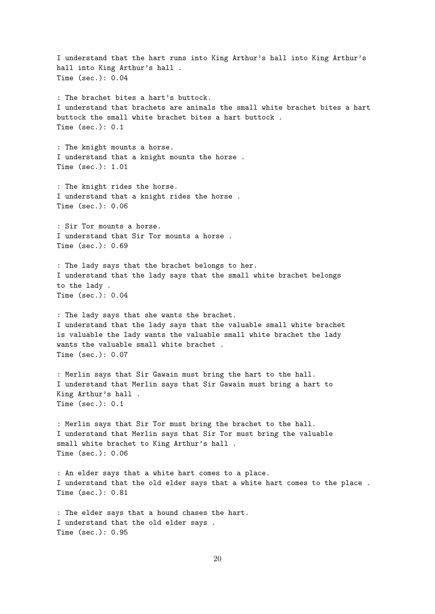I understand that the hart runs into King Arthur's hall into King Arthur's hall into King Arthur's hall . Time (sec.): 0.04 : The brachet bites a hart's buttock. I understand that brachets are animals the small white brachet bites a hart buttock the small white brachet bites a hart buttock . Time (sec.): 0.1 : The knight mounts a horse. I understand that a knight mounts the horse . Time (sec.): 1.01 : The knight rides the horse. I understand that a knight rides the horse . Time (sec.): 0.06 : Sir Tor mounts a horse. I understand that Sir Tor mounts a horse . Time (sec.): 0.69 : The lady says that the brachet belongs to her. I understand that the lady says that the small white brachet belongs to the lady . Time (sec.): 0.04 : The lady says that she wants the brachet. I understand that the lady says that the valuable small white brachet is valuable the lady wants the valuable small white brachet the lady wants the valuable small white brachet . Time (sec.): 0.07 : Merlin says that Sir Gawain must bring the hart to the hall. I understand that Merlin says that Sir Gawain must bring a hart to King Arthur's hall . Time (sec.): 0.1 : Merlin says that Sir Tor must bring the brachet to the hall. I understand that Merlin says that Sir Tor must bring the valuable small white brachet to King Arthur's hall . Time (sec.): 0.06 : An elder says that a white hart comes to a place. I understand that the old elder says that a white hart comes to the place . Time (sec.): 0.81 : The elder says that a hound chases the hart. I understand that the old elder says . Time (sec.): 0.95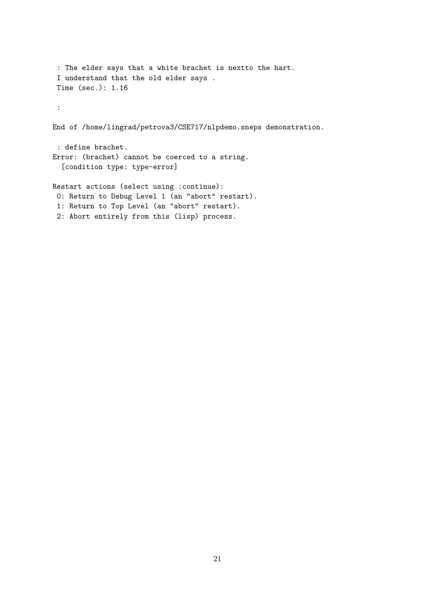```
: The elder says that a white brachet is nextto the hart.
 I understand that the old elder says .
 Time (sec.): 1.16
 :
End of /home/lingrad/petrova3/CSE717/nlpdemo.sneps demonstration.
 : define brachet.
Error: (brachet) cannot be coerced to a string.
  [condition type: type-error]
Restart actions (select using :continue):
 0: Return to Debug Level 1 (an "abort" restart).
 1: Return to Top Level (an "abort" restart).
 2: Abort entirely from this (lisp) process.
```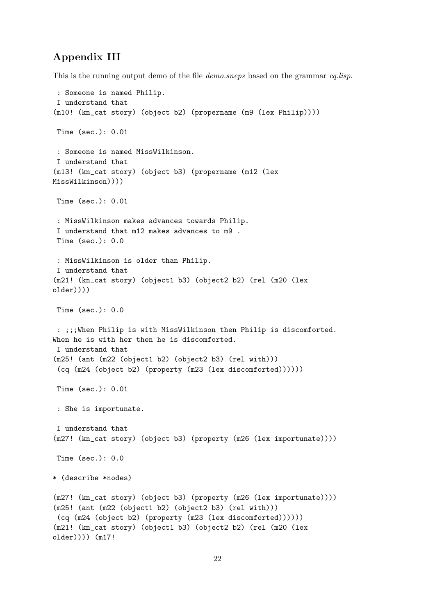## Appendix III

This is the running output demo of the file *demo.sneps* based on the grammar *cq.lisp.* 

```
: Someone is named Philip.
I understand that
(m10! (kn_cat story) (object b2) (propername (m9 (lex Philip))))
Time (sec.): 0.01
 : Someone is named MissWilkinson.
I understand that
(m13! (kn_cat story) (object b3) (propername (m12 (lex
MissWilkinson))))
Time (sec.): 0.01
 : MissWilkinson makes advances towards Philip.
 I understand that m12 makes advances to m9 .
Time (sec.): 0.0
 : MissWilkinson is older than Philip.
I understand that
(m21! (kn_cat story) (object1 b3) (object2 b2) (rel (m20 (lex
older))))
Time (sec.): 0.0
 : ;;;When Philip is with MissWilkinson then Philip is discomforted.
When he is with her then he is discomforted.
 I understand that
(m25! (ant (m22 (object1 b2) (object2 b3) (rel with)))
 (cq (m24 (object b2) (property (m23 (lex discomforted))))))
Time (sec.): 0.01
 : She is importunate.
I understand that
(m27! (kn_cat story) (object b3) (property (m26 (lex importunate))))
Time (sec.): 0.0
* (describe *nodes)
(m27! (kn_cat story) (object b3) (property (m26 (lex importunate))))
(m25! (ant (m22 (object1 b2) (object2 b3) (rel with)))
 (cq (m24 (object b2) (property (m23 (lex discomforted))))))
(m21! (kn_cat story) (object1 b3) (object2 b2) (rel (m20 (lex
older)))) (m17!
```